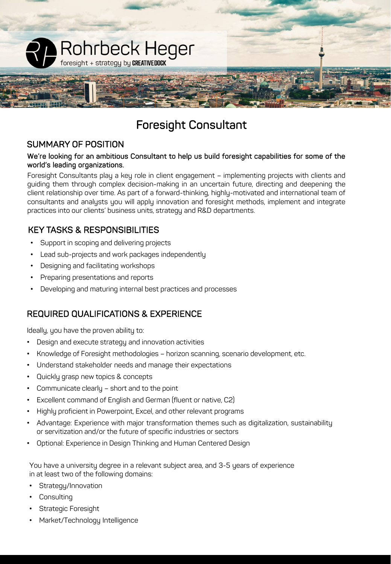

# Foresight Consultant

#### SUMMARY OF POSITION

#### We're looking for an ambitious Consultant to help us build foresight capabilities for some of the world's leading organizations.

Foresight Consultants play a key role in client engagement – implementing projects with clients and guiding them through complex decision-making in an uncertain future, directing and deepening the client relationship over time. As part of a forward-thinking, highly-motivated and international team of consultants and analysts you will apply innovation and foresight methods, implement and integrate practices into our clients' business units, strategy and R&D departments.

### KEY TASKS & RESPONSIBILITIES

- Support in scoping and delivering projects
- Lead sub-projects and work packages independently
- Designing and facilitating workshops
- Preparing presentations and reports
- Developing and maturing internal best practices and processes

#### REQUIRED QUALIFICATIONS & EXPERIENCE

Ideally, you have the proven ability to:

- Design and execute strategy and innovation activities
- Knowledge of Foresight methodologies horizon scanning, scenario development, etc.
- Understand stakeholder needs and manage their expectations
- Quickly grasp new topics & concepts
- Communicate clearly short and to the point
- Excellent command of English and German (fluent or native, C2)
- Highly proficient in Powerpoint, Excel, and other relevant programs
- Advantage: Experience with major transformation themes such as digitalization, sustainability or servitization and/or the future of specific industries or sectors
- Optional: Experience in Design Thinking and Human Centered Design

You have a university degree in a relevant subject area, and 3-5 years of experience in at least two of the following domains:

- Strategy/Innovation
- **Consulting**
- Strategic Foresight
- Market/Technology Intelligence